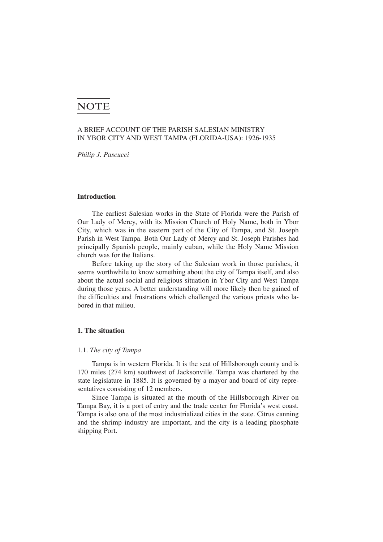# **NOTE**

## A BRIEF ACCOUNT OF THE PARISH SALESIAN MINISTRY IN YBOR CITY AND WEST TAMPA (FLORIDA-USA): 1926-1935

*Philip J. Pascucci*

## **Introduction**

The earliest Salesian works in the State of Florida were the Parish of Our Lady of Mercy, with its Mission Church of Holy Name, both in Ybor City, which was in the eastern part of the City of Tampa, and St. Joseph Parish in West Tampa. Both Our Lady of Mercy and St. Joseph Parishes had principally Spanish people, mainly cuban, while the Holy Name Mission church was for the Italians.

Before taking up the story of the Salesian work in those parishes, it seems worthwhile to know something about the city of Tampa itself, and also about the actual social and religious situation in Ybor City and West Tampa during those years. A better understanding will more likely then be gained of the difficulties and frustrations which challenged the various priests who labored in that milieu.

## **1. The situation**

#### 1.1. *The city of Tampa*

Tampa is in western Florida. It is the seat of Hillsborough county and is 170 miles (274 km) southwest of Jacksonville. Tampa was chartered by the state legislature in 1885. It is governed by a mayor and board of city representatives consisting of 12 members.

Since Tampa is situated at the mouth of the Hillsborough River on Tampa Bay, it is a port of entry and the trade center for Florida's west coast. Tampa is also one of the most industrialized cities in the state. Citrus canning and the shrimp industry are important, and the city is a leading phosphate shipping Port.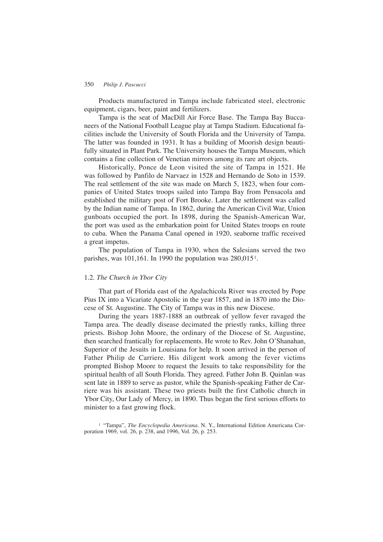Products manufactured in Tampa include fabricated steel, electronic equipment, cigars, beer, paint and fertilizers.

Tampa is the seat of MacDill Air Force Base. The Tampa Bay Buccaneers of the National Football League play at Tampa Stadium. Educational facilities include the University of South Florida and the University of Tampa. The latter was founded in 1931. It has a building of Moorish design beautifully situated in Plant Park. The University houses the Tampa Museum, which contains a fine collection of Venetian mirrors among its rare art objects.

Historically, Ponce de Leon visited the site of Tampa in 1521. He was followed by Panfilo de Narvaez in 1528 and Hernando de Soto in 1539. The real settlement of the site was made on March 5, 1823, when four companies of United States troops sailed into Tampa Bay from Pensacola and established the military post of Fort Brooke. Later the settlement was called by the Indian name of Tampa. In 1862, during the American Civil War, Union gunboats occupied the port. In 1898, during the Spanish-American War, the port was used as the embarkation point for United States troops en route to cuba. When the Panama Canal opened in 1920, seaborne traffic received a great impetus.

The population of Tampa in 1930, when the Salesians served the two parishes, was 101,161. In 1990 the population was 280,0151.

## 1.2. *The Church in Ybor City*

That part of Florida east of the Apalachicola River was erected by Pope Pius IX into a Vicariate Apostolic in the year 1857, and in 1870 into the Diocese of St. Augustine. The City of Tampa was in this new Diocese.

During the years 1887-1888 an outbreak of yellow fever ravaged the Tampa area. The deadly disease decimated the priestly ranks, killing three priests. Bishop John Moore, the ordinary of the Diocese of St. Augustine, then searched frantically for replacements. He wrote to Rev. John O'Shanahan, Superior of the Jesuits in Louisiana for help. It soon arrived in the person of Father Philip de Carriere. His diligent work among the fever victims prompted Bishop Moore to request the Jesuits to take responsibility for the spiritual health of all South Florida. They agreed. Father John B. Quinlan was sent late in 1889 to serve as pastor, while the Spanish-speaking Father de Carriere was his assistant. These two priests built the first Catholic church in Ybor City, Our Lady of Mercy, in 1890. Thus began the first serious efforts to minister to a fast growing flock.

<sup>1</sup> "Tampa", *The Encyclopedia Americana.* N. Y., International Edition Americana Corporation 1969, vol. 26, p. 238, and 1996, Vol. 26, p. 253.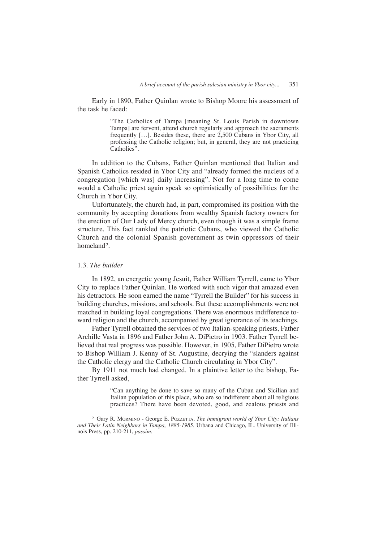Early in 1890, Father Quinlan wrote to Bishop Moore his assessment of the task he faced:

> "The Catholics of Tampa [meaning St. Louis Parish in downtown Tampa] are fervent, attend church regularly and approach the sacraments frequently […]. Besides these, there are 2,500 Cubans in Ybor City, all professing the Catholic religion; but, in general, they are not practicing Catholics".

In addition to the Cubans, Father Quinlan mentioned that Italian and Spanish Catholics resided in Ybor City and "already formed the nucleus of a congregation [which was] daily increasing". Not for a long time to come would a Catholic priest again speak so optimistically of possibilities for the Church in Ybor City.

Unfortunately, the church had, in part, compromised its position with the community by accepting donations from wealthy Spanish factory owners for the erection of Our Lady of Mercy church, even though it was a simple frame structure. This fact rankled the patriotic Cubans, who viewed the Catholic Church and the colonial Spanish government as twin oppressors of their homeland<sup>2</sup>.

## 1.3. *The builder*

In 1892, an energetic young Jesuit, Father William Tyrrell, came to Ybor City to replace Father Quinlan. He worked with such vigor that amazed even his detractors. He soon earned the name "Tyrrell the Builder" for his success in building churches, missions, and schools. But these accomplishments were not matched in building loyal congregations. There was enormous indifference toward religion and the church, accompanied by great ignorance of its teachings.

Father Tyrrell obtained the services of two Italian-speaking priests, Father Archille Vasta in 1896 and Father John A. DiPietro in 1903. Father Tyrrell believed that real progress was possible. However, in 1905, Father DiPietro wrote to Bishop William J. Kenny of St. Augustine, decrying the "slanders against the Catholic clergy and the Catholic Church circulating in Ybor City".

By 1911 not much had changed. In a plaintive letter to the bishop, Father Tyrrell asked,

> "Can anything be done to save so many of the Cuban and Sicilian and Italian population of this place, who are so indifferent about all religious practices? There have been devoted, good, and zealous priests and

<sup>2</sup> Gary R. MORMINO - George E. POZZETTA, *The immigrant world of Ybor City: Italians and Their Latin Neighbors in Tampa, 1885-1985.* Urbana and Chicago, IL. University of Illinois Press, pp. 210-211, *passim*.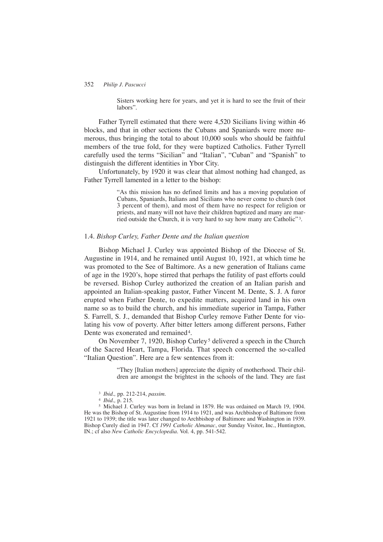Sisters working here for years, and yet it is hard to see the fruit of their labors".

Father Tyrrell estimated that there were 4,520 Sicilians living within 46 blocks, and that in other sections the Cubans and Spaniards were more numerous, thus bringing the total to about 10,000 souls who should be faithful members of the true fold, for they were baptized Catholics. Father Tyrrell carefully used the terms "Sicilian" and "Italian", "Cuban" and "Spanish" to distinguish the different identities in Ybor City.

Unfortunately, by 1920 it was clear that almost nothing had changed, as Father Tyrrell lamented in a letter to the bishop:

> "As this mission has no defined limits and has a moving population of Cubans, Spaniards, Italians and Sicilians who never come to church (not 3 percent of them), and most of them have no respect for religion or priests, and many will not have their children baptized and many are married outside the Church, it is very hard to say how many are Catholic<sup>"3</sup>.

## 1.4. *Bishop Curley, Father Dente and the Italian question*

Bishop Michael J. Curley was appointed Bishop of the Diocese of St. Augustine in 1914, and he remained until August 10, 1921, at which time he was promoted to the See of Baltimore. As a new generation of Italians came of age in the 1920's, hope stirred that perhaps the futility of past efforts could be reversed. Bishop Curley authorized the creation of an Italian parish and appointed an Italian-speaking pastor, Father Vincent M. Dente, S. J. A furor erupted when Father Dente, to expedite matters, acquired land in his own name so as to build the church, and his immediate superior in Tampa, Father S. Farrell, S. J., demanded that Bishop Curley remove Father Dente for violating his vow of poverty. After bitter letters among different persons, Father Dente was exonerated and remained<sup>4</sup>.

On November 7, 1920, Bishop Curley<sup>5</sup> delivered a speech in the Church of the Sacred Heart, Tampa, Florida. That speech concerned the so-called "Italian Question". Here are a few sentences from it:

> "They [Italian mothers] appreciate the dignity of motherhood. Their children are amongst the brightest in the schools of the land. They are fast

<sup>4</sup> *Ibid.,* p. 215.

<sup>5</sup> Michael J. Curley was born in Ireland in 1879. He was ordained on March 19, 1904. He was the Bishop of St. Augustine from 1914 to 1921, and was Archbishop of Baltimore from 1921 to 1939; the title was later changed to Archbishop of Baltimore and Washington in 1939. Bishop Curely died in 1947. Cf *1991 Catholic Almanac*, our Sunday Visitor, Inc., Huntington, IN.; cf also *New Catholic Encyclopedia*. Vol. 4, pp. 541-542.

<sup>3</sup> *Ibid.,* pp. 212-214, *passim*.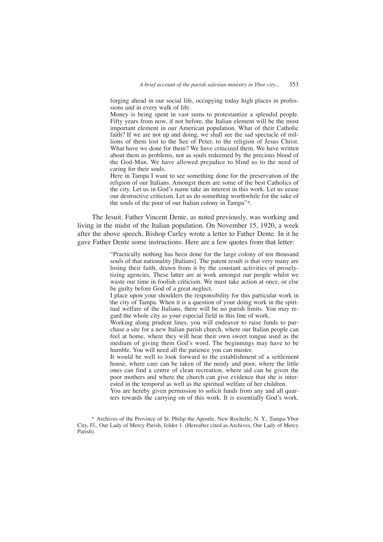forging ahead in our social life, occupying today high places in professions and in every walk of life.

Money is being spent in vast sums to protestantize a splendid people. Fifty years from now, if not before, the Italian element will be the most important element in our American population. What of their Catholic faith? If we are not up and doing, we shall see the sad spectacle of millions of them lost to the See of Peter, to the religion of Jesus Christ. What have we done for them? We have criticized them. We have written about them as problems, not as souls redeemed by the precious blood of the God-Man. We have allowed prejudice to blind us to the need of caring for their souls.

Here in Tampa I want to see something done for the preservation of the religion of our Italians. Amongst them are some of the best Catholics of the city. Let us in God's name take an interest in this work. Let us cease our destructive criticism. Let us do something worthwhile for the sake of the souls of the poor of our Italian colony in Tampa"<sup>6</sup>.

The Jesuit. Father Vincent Dente, as noted previously, was working and living in the midst of the Italian population. On November 15, 1920, a week after the above speech, Bishop Curley wrote a letter to Father Dente. In it he gave Father Dente some instructions. Here are a few quotes from that letter:

> "Practically nothing has been done for the large colony of ten thousand souls of that nationality [Italians]. The patent result is that very many are losing their faith, drawn from it by the constant activities of proselytizing agencies. These latter are at work amongst our people whilst we waste our time in foolish criticism. We must take action at once, or else be guilty before God of a great neglect.

> I place upon your shoulders the responsibility for this particular work in the city of Tampa. When it is a question of your doing work in the spiritual welfare of the Italians, there will be no parish limits. You may regard the whole city as your especial field in this line of work.

> Working along prudent lines, you will endeavor to raise funds to purchase a site for a new Italian parish church, where our Italian people can feel at home, where they will hear their own sweet tongue used as the medium of giving them God's word. The beginnings may have to be humble. You will need all the patience you can muster.

> It would be well to look forward to the establishment of a settlement house, where care can be taken of the needy and poor, where the little ones can find a centre of clean recreation, where aid can be given the poor mothers and where the church can give evidence that she is interested in the temporal as well as the spiritual welfare of her children.

> You are hereby given permission to solicit funds from any and all quarters towards the carrying on of this work. It is essentially God's work.

<sup>6</sup> Archives of the Province of St. Philip the Apostle, New Rochelle, N. Y., Tampa-Ybor City, Fl., Our Lady of Mercy Parish, folder 1. (Hereafter cited as Archives, Our Lady of Mercy Parish).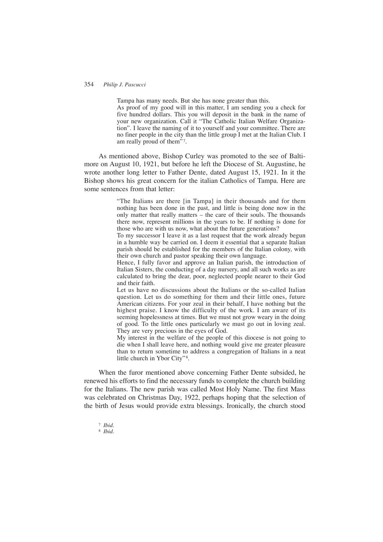Tampa has many needs. But she has none greater than this.

As proof of my good will in this matter, I am sending you a check for five hundred dollars. This you will deposit in the bank in the name of your new organization. Call it "The Catholic Italian Welfare Organization". I leave the naming of it to yourself and your committee. There are no finer people in the city than the little group I met at the Italian Club. I am really proud of them"<sup>7</sup>.

As mentioned above, Bishop Curley was promoted to the see of Baltimore on August 10, 1921, but before he left the Diocese of St. Augustine, he wrote another long letter to Father Dente, dated August 15, 1921. In it the Bishop shows his great concern for the italian Catholics of Tampa. Here are some sentences from that letter:

> "The Italians are there [in Tampa] in their thousands and for them nothing has been done in the past, and little is being done now in the only matter that really matters – the care of their souls. The thousands there now, represent millions in the years to be. If nothing is done for those who are with us now, what about the future generations?

> To my successor I leave it as a last request that the work already begun in a humble way be carried on. I deem it essential that a separate Italian parish should be established for the members of the Italian colony, with their own church and pastor speaking their own language.

> Hence, I fully favor and approve an Italian parish, the introduction of Italian Sisters, the conducting of a day nursery, and all such works as are calculated to bring the dear, poor, neglected people nearer to their God and their faith.

> Let us have no discussions about the Italians or the so-called Italian question. Let us do something for them and their little ones, future American citizens. For your zeal in their behalf, I have nothing but the highest praise. I know the difficulty of the work. I am aware of its seeming hopelessness at times. But we must not grow weary in the doing of good. To the little ones particularly we must go out in loving zeal. They are very precious in the eyes of God.

> My interest in the welfare of the people of this diocese is not going to die when I shall leave here, and nothing would give me greater pleasure than to return sometime to address a congregation of Italians in a neat little church in Ybor City"<sup>8</sup>.

When the furor mentioned above concerning Father Dente subsided, he renewed his efforts to find the necessary funds to complete the church building for the Italians. The new parish was called Most Holy Name. The first Mass was celebrated on Christmas Day, 1922, perhaps hoping that the selection of the birth of Jesus would provide extra blessings. Ironically, the church stood

<sup>7</sup> *Ibid.* <sup>8</sup> *Ibid.*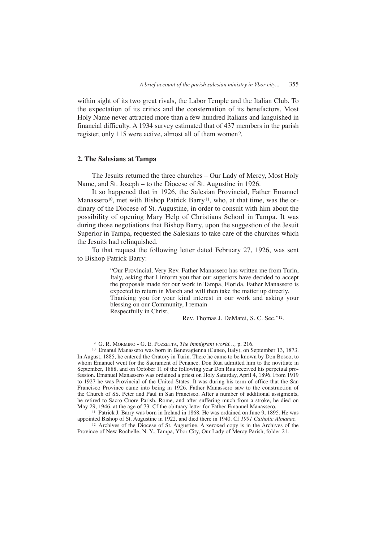within sight of its two great rivals, the Labor Temple and the Italian Club. To the expectation of its critics and the consternation of its benefactors, Most Holy Name never attracted more than a few hundred Italians and languished in financial difficulty. A 1934 survey estimated that of 437 members in the parish register, only 115 were active, almost all of them women<sup>9</sup>.

#### **2. The Salesians at Tampa**

The Jesuits returned the three churches – Our Lady of Mercy, Most Holy Name, and St. Joseph – to the Diocese of St. Augustine in 1926.

It so happened that in 1926, the Salesian Provincial, Father Emanuel Manassero<sup>10</sup>, met with Bishop Patrick Barry<sup>11</sup>, who, at that time, was the ordinary of the Diocese of St. Augustine, in order to consult with him about the possibility of opening Mary Help of Christians School in Tampa. It was during those negotiations that Bishop Barry, upon the suggestion of the Jesuit Superior in Tampa, requested the Salesians to take care of the churches which the Jesuits had relinquished.

To that request the following letter dated February 27, 1926, was sent to Bishop Patrick Barry:

> "Our Provincial, Very Rev. Father Manassero has written me from Turin, Italy, asking that I inform you that our superiors have decided to accept the proposals made for our work in Tampa, Florida. Father Manassero is expected to return in March and will then take the matter up directly. Thanking you for your kind interest in our work and asking your blessing on our Community, I remain Respectfully in Christ,

> > Rev. Thomas J. DeMatei, S. C. Sec."12.

<sup>9</sup> G. R. MORMINO - G. E. POZZETTA, *The immigrant world…,* p. 216.

<sup>10</sup> Emanul Manassero was born in Benevagienna (Cuneo, Italy), on September 13, 1873. In August, 1885, he entered the Oratory in Turin. There he came to be known by Don Bosco, to whom Emanuel went for the Sacrament of Penance. Don Rua admitted him to the novitiate in September, 1888, and on October 11 of the following year Don Rua received his perpetual profession. Emanuel Manassero was ordained a priest on Holy Saturday, April 4, 1896. From 1919 to 1927 he was Provincial of the United States. It was during his term of office that the San Francisco Province came into being in 1926. Father Manassero saw to the construction of the Church of SS. Peter and Paul in San Francisco. After a number of additional assigments, he retired to Sacro Cuore Parish, Rome, and after suffering much from a stroke, he died on May 29, 1946, at the age of 73. Cf the obituary letter for Father Emanuel Manassero.

<sup>11</sup> Patrick J. Barry was born in Ireland in 1868. He was ordained on June 9, 1895. He was appointed Bishop of St. Augustine in 1922, and died there in 1940. Cf *1991 Catholic Almanac*.

<sup>12</sup> Archives of the Diocese of St. Augustine. A xeroxed copy is in the Archives of the Province of New Rochelle, N. Y., Tampa, Ybor City, Our Lady of Mercy Parish, folder 21.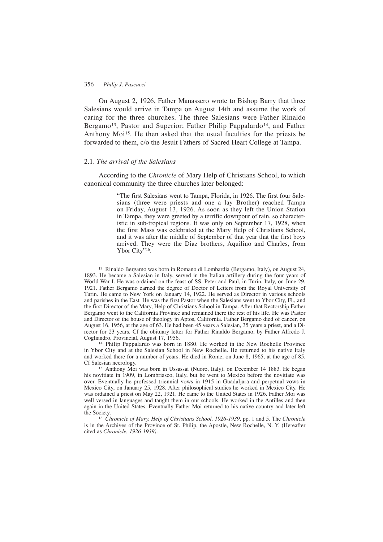On August 2, 1926, Father Manassero wrote to Bishop Barry that three Salesians would arrive in Tampa on August 14th and assume the work of caring for the three churches. The three Salesians were Father Rinaldo Bergamo<sup>13</sup>, Pastor and Superior; Father Philip Pappalardo<sup>14</sup>, and Father Anthony Moi15. He then asked that the usual faculties for the priests be forwarded to them, c/o the Jesuit Fathers of Sacred Heart College at Tampa.

## 2.1. *The arrival of the Salesians*

According to the *Chronicle* of Mary Help of Christians School, to which canonical community the three churches later belonged:

> "The first Salesians went to Tampa, Florida, in 1926. The first four Salesians (three were priests and one a lay Brother) reached Tampa on Friday, August 13, 1926. As soon as they left the Union Station in Tampa, they were greeted by a terrific downpour of rain, so characteristic in sub-tropical regions. It was only on September 17, 1928, when the first Mass was celebrated at the Mary Help of Christians School, and it was after the middle of September of that year that the first boys arrived. They were the Diaz brothers, Aquilino and Charles, from Ybor City"16.

<sup>13</sup> Rinaldo Bergamo was born in Romano di Lombardia (Bergamo, Italy), on August 24, 1893. He became a Salesian in Italy, served in the Italian artillery during the four years of World War I. He was ordained on the feast of SS. Peter and Paul, in Turin, Italy, on June 29, 1921. Father Bergamo earned the degree of Doctor of Letters from the Royal University of Turin. He came to New York on January 14, 1922. He served as Director in various schools and parishes in the East. He was the first Pastor when the Salesians went to Ybor City, Fl., and the first Director of the Mary, Help of Christians School in Tampa. After that Rectorship Father Bergamo went to the California Province and remained there the rest of his life. He was Pastor and Director of the house of theology in Aptos, California. Father Bergamo died of cancer, on August 16, 1956, at the age of 63. He had been 45 years a Salesian, 35 years a priest, and a Director for 23 years. Cf the obituary letter for Father Rinaldo Bergamo, by Father Alfredo J. Cogliandro, Provincial, August 17, 1956.

<sup>14</sup> Philip Pappalardo was born in 1880. He worked in the New Rochelle Province in Ybor City and at the Salesian School in New Rochelle. He returned to his native Italy and worked there for a number of years. He died in Rome, on June 8, 1965, at the age of 85. Cf Salesian necrology.

<sup>15</sup> Anthony Moi was born in Ussassai (Nuoro, Italy), on December 14 1883. He began his novitiate in 1909, in Lombriasco, Italy, but he went to Mexico before the novitiate was over. Eventually he professed triennial vows in 1915 in Guadaljara and perpetual vows in Mexico City, on January 25, 1928. After philosophical studies he worked in Mexico City. He was ordained a priest on May 22, 1921. He came to the United States in 1926. Father Moi was well versed in languages and taught them in our schools. He worked in the Antilles and then again in the United States. Eventually Father Moi returned to his native country and later left the Society.

<sup>16</sup> *Chronicle of Mary, Help of Christians School, 1926-1939,* pp. 1 and 5. The *Chronicle* is in the Archives of the Province of St. Philip, the Apostle, New Rochelle, N. Y. (Hereafter cited as *Chronicle, 1926-1939)*.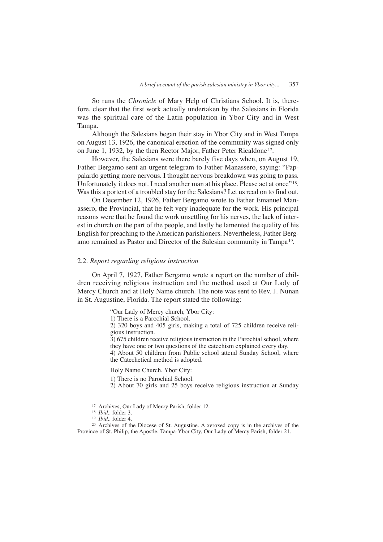So runs the *Chronicle* of Mary Help of Christians School. It is, therefore, clear that the first work actually undertaken by the Salesians in Florida was the spiritual care of the Latin population in Ybor City and in West Tampa.

Although the Salesians began their stay in Ybor City and in West Tampa on August 13, 1926, the canonical erection of the community was signed only on June 1, 1932, by the then Rector Major, Father Peter Ricaldone 17.

However, the Salesians were there barely five days when, on August 19, Father Bergamo sent an urgent telegram to Father Manassero, saying: "Pappalardo getting more nervous. I thought nervous breakdown was going to pass. Unfortunately it does not. I need another man at his place. Please act at once"<sup>18</sup>. Was this a portent of a troubled stay for the Salesians? Let us read on to find out.

On December 12, 1926, Father Bergamo wrote to Father Emanuel Manassero, the Provincial, that he felt very inadequate for the work. His principal reasons were that he found the work unsettling for his nerves, the lack of interest in church on the part of the people, and lastly he lamented the quality of his English for preaching to the American parishioners. Nevertheless, Father Bergamo remained as Pastor and Director of the Salesian community in Tampa 19.

## 2.2. *Report regarding religious instruction*

On April 7, 1927, Father Bergamo wrote a report on the number of children receiving religious instruction and the method used at Our Lady of Mercy Church and at Holy Name church. The note was sent to Rev. J. Nunan in St. Augustine, Florida. The report stated the following:

"Our Lady of Mercy church, Ybor City:

1) There is a Parochial School.

2) 320 boys and 405 girls, making a total of 725 children receive religious instruction.

3) 675 children receive religious instruction in the Parochial school, where they have one or two questions of the catechism explained every day.

4) About 50 children from Public school attend Sunday School, where the Catechetical method is adopted.

Holy Name Church, Ybor City:

1) There is no Parochial School.

2) About 70 girls and 25 boys receive religious instruction at Sunday

- <sup>17</sup> Archives, Our Lady of Mercy Parish, folder 12.
- <sup>18</sup> *Ibid.,* folder 3.
- <sup>19</sup> *Ibid.,* folder 4.

<sup>20</sup> Archives of the Diocese of St. Augustine. A xeroxed copy is in the archives of the Province of St. Philip, the Apostle, Tampa-Ybor City, Our Lady of Mercy Parish, folder 21.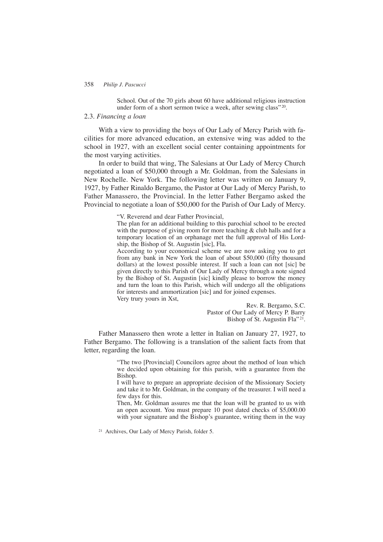School. Out of the 70 girls about 60 have additional religious instruction under form of a short sermon twice a week, after sewing class"<sup>20</sup>.

#### 2.3. *Financing a loan*

With a view to providing the boys of Our Lady of Mercy Parish with facilities for more advanced education, an extensive wing was added to the school in 1927, with an excellent social center containing appointments for the most varying activities.

In order to build that wing, The Salesians at Our Lady of Mercy Church negotiated a loan of \$50,000 through a Mr. Goldman, from the Salesians in New Rochelle. New York. The following letter was written on January 9, 1927, by Father Rinaldo Bergamo, the Pastor at Our Lady of Mercy Parish, to Father Manassero, the Provincial. In the letter Father Bergamo asked the Provincial to negotiate a loan of \$50,000 for the Parish of Our Lady of Mercy.

"V. Reverend and dear Father Provincial,

The plan for an additional building to this parochial school to be erected with the purpose of giving room for more teaching & club halls and for a temporary location of an orphanage met the full approval of His Lordship, the Bishop of St. Augustin [sic], Fla.

According to your economical scheme we are now asking you to get from any bank in New York the loan of about \$50,000 (fifty thousand dollars) at the lowest possible interest. If such a loan can not [sic] be given directly to this Parish of Our Lady of Mercy through a note signed by the Bishop of St. Augustin [sic] kindly please to borrow the money and turn the loan to this Parish, which will undergo all the obligations for interests and ammortization [sic] and for joined expenses. Very trury yours in Xst,

Rev. R. Bergamo, S.C. Pastor of Our Lady of Mercy P. Barry Bishop of St. Augustin Fla"<sup>21</sup>.

Father Manassero then wrote a letter in Italian on January 27, 1927, to Father Bergamo. The following is a translation of the salient facts from that letter, regarding the loan.

> "The two [Provincial] Councilors agree about the method of loan which we decided upon obtaining for this parish, with a guarantee from the Bishop.

> I will have to prepare an appropriate decision of the Missionary Society and take it to Mr. Goldman, in the company of the treasurer. I will need a few days for this.

> Then, Mr. Goldman assures me that the loan will be granted to us with an open account. You must prepare 10 post dated checks of \$5,000.00 with your signature and the Bishop's guarantee, writing them in the way

<sup>21</sup> Archives, Our Lady of Mercy Parish, folder 5.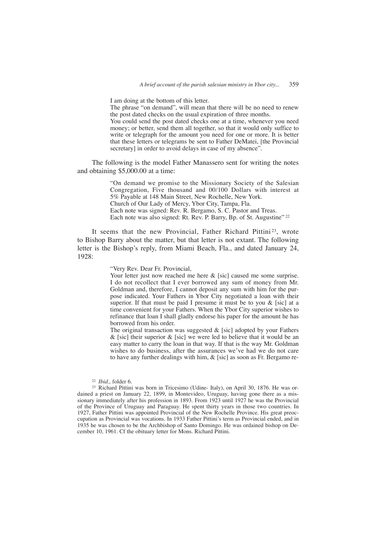I am doing at the bottom of this letter.

The phrase "on demand", will mean that there will be no need to renew the post dated checks on the usual expiration of three months.

You could send the post dated checks one at a time, whenever you need money; or better, send them all together, so that it would only suffice to write or telegraph for the amount you need for one or more. It is better that these letters or telegrams be sent to Father DeMatei, [the Provincial secretary] in order to avoid delays in case of my absence".

The following is the model Father Manassero sent for writing the notes and obtaining \$5,000.00 at a time:

> "On demand we promise to the Missionary Society of the Salesian Congregation, Five thousand and 00/100 Dollars with interest at 5% Payable at 148 Main Street, New Rochelle, New York. Church of Our Lady of Mercy, Ybor City, Tampa, Fla. Each note was signed: Rev. R. Bergamo, S. C. Pastor and Treas. Each note was also signed: Rt. Rev. P. Barry, Bp. of St. Augustine" <sup>22</sup>

It seems that the new Provincial, Father Richard Pittini<sup>23</sup>, wrote to Bishop Barry about the matter, but that letter is not extant. The following letter is the Bishop's reply, from Miami Beach, Fla., and dated January 24, 1928:

"Very Rev. Dear Fr. Provincial,

Your letter just now reached me here  $\&$  [sic] caused me some surprise. I do not recollect that I ever borrowed any sum of money from Mr. Goldman and, therefore, I cannot deposit any sum with him for the purpose indicated. Your Fathers in Ybor City negotiated a loan with their superior. If that must be paid I presume it must be to you & [sic] at a time convenient for your Fathers. When the Ybor City superior wishes to refinance that loan I shall gladly endorse his paper for the amount he has borrowed from his order.

The original transaction was suggested  $&$  [sic] adopted by your Fathers  $\&$  [sic] their superior  $\&$  [sic] we were led to believe that it would be an easy matter to carry the loan in that way. If that is the way Mr. Goldman wishes to do business, after the assurances we've had we do not care to have any further dealings with him,  $\&$  [sic] as soon as Fr. Bergamo re-

<sup>22</sup> *Ibid.,* folder 6.

<sup>23</sup> Richard Pittini was born in Tricesimo (Udine- Italy), on April 30, 1876. He was ordained a priest on January 22, 1899, in Montevideo, Uruguay, having gone there as a missionary immediately after his profession in 1893. From 1923 until 1927 he was the Provincial of the Province of Uruguay and Paraguay. He spent thirty years in those two countries. In 1927, Father Pittini was appointed Provincial of the New Rochelle Province. His great preoccupation as Provincial was vocations. In 1933 Father Pittini's term as Provincial ended, and in 1935 he was chosen to be the Archbishop of Santo Domingo. He was ordained bishop on December 10, 1961. Cf the obituary letter for Mons. Richard Pittini.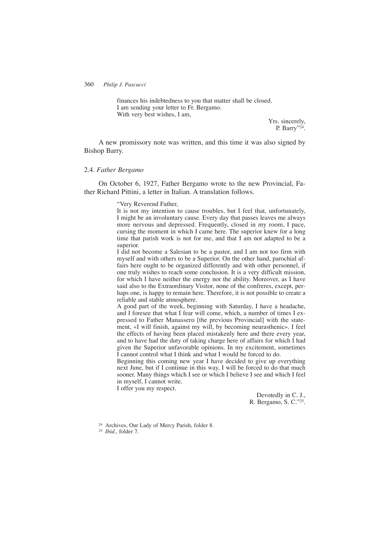finances his indebtedness to you that matter shall be closed. I am sending your letter to Fr. Bergamo. With very best wishes, I am,

Yrs. sincerely, P. Barry"24.

A new promissory note was written, and this time it was also signed by Bishop Barry.

#### 2.4. *Father Bergamo*

On October 6, 1927, Father Bergamo wrote to the new Provincial, Father Richard Pittini, a letter in Italian. A translation follows.

"Very Reverend Father,

It is not my intention to cause troubles, but I feel that, unfortunately, I might be an involuntary cause. Every day that passes leaves me always more nervous and depressed. Frequently, closed in my room, I pace, cursing the moment in which I came here. The superior knew for a long time that parish work is not for me, and that I am not adapted to be a superior.

I did not become a Salesian to be a pastor, and I am not too firm with myself and with others to be a Superior. On the other hand, parochial affairs here ought to be organized differently and with other personnel, if one truly wishes to reach some conclusion. It is a very difficult mission, for which I have neither the energy nor the ability. Moreover, as I have said also to the Extraordinary Visitor, none of the confreres, except, perhaps one, is happy to remain here. Therefore, it is not possible to create a reliable and stable atmosphere.

A good part of the week, beginning with Saturday, I have a headache, and I foresee that what I fear will come, which, a number of times I expressed to Father Manassero [the previous Provincial] with the statement, «I will finish, against my will, by becoming neurasthenic». I feel the effects of having been placed mistakenly here and there every year, and to have had the duty of taking charge here of affairs for which I had given the Superior unfavorable opinions. In my excitement, sometimes I cannot control what I think and what I would be forced to do.

Beginning this coming new year I have decided to give up everything next June, but if I continue in this way, I will be forced to do that much sooner. Many things which I see or which I believe I see and which I feel in myself, I cannot write.

I offer you my respect.

Devotedly in C. J., R. Bergamo, S. C."25.

<sup>24</sup> Archives, Our Lady of Mercy Parish, folder 8.

<sup>25</sup> *Ibid.,* folder 7.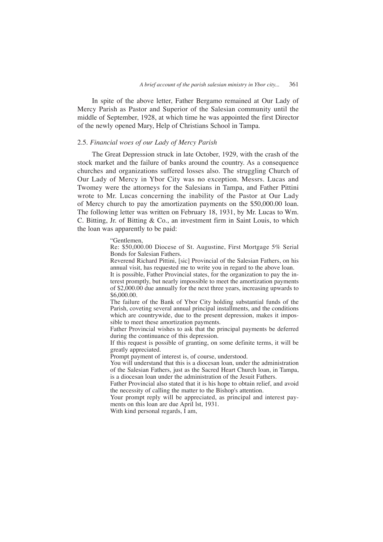In spite of the above letter, Father Bergamo remained at Our Lady of Mercy Parish as Pastor and Superior of the Salesian community until the middle of September, 1928, at which time he was appointed the first Director of the newly opened Mary, Help of Christians School in Tampa.

## 2.5. *Financial woes of our Lady of Mercy Parish*

The Great Depression struck in late October, 1929, with the crash of the stock market and the failure of banks around the country. As a consequence churches and organizations suffered losses also. The struggling Church of Our Lady of Mercy in Ybor City was no exception. Messrs. Lucas and Twomey were the attorneys for the Salesians in Tampa, and Father Pittini wrote to Mr. Lucas concerning the inability of the Pastor at Our Lady of Mercy church to pay the amortization payments on the \$50,000.00 loan. The following letter was written on February 18, 1931, by Mr. Lucas to Wm. C. Bitting, Jr. of Bitting & Co., an investment firm in Saint Louis, to which the loan was apparently to be paid:

#### "Gentlemen,

Re: \$50,000.00 Diocese of St. Augustine, First Mortgage 5% Serial Bonds for Salesian Fathers.

Reverend Richard Pittini, [sic] Provincial of the Salesian Fathers, on his annual visit, has requested me to write you in regard to the above loan.

It is possible, Father Provincial states, for the organization to pay the interest promptly, but nearly impossible to meet the amortization payments of \$2,000.00 due annually for the next three years, increasing upwards to \$6,000.00.

The failure of the Bank of Ybor City holding substantial funds of the Parish, coveting several annual principal installments, and the conditions which are countrywide, due to the present depression, makes it impossible to meet these amortization payments.

Father Provincial wishes to ask that the principal payments be deferred during the continuance of this depression.

If this request is possible of granting, on some definite terms, it will be greatly appreciated.

Prompt payment of interest is, of course, understood.

You will understand that this is a diocesan loan, under the administration of the Salesian Fathers, just as the Sacred Heart Church loan, in Tampa, is a diocesan loan under the administration of the Jesuit Fathers.

Father Provincial also stated that it is his hope to obtain relief, and avoid the necessity of calling the matter to the Bishop's attention.

Your prompt reply will be appreciated, as principal and interest payments on this loan are due April lst, 1931.

With kind personal regards, I am,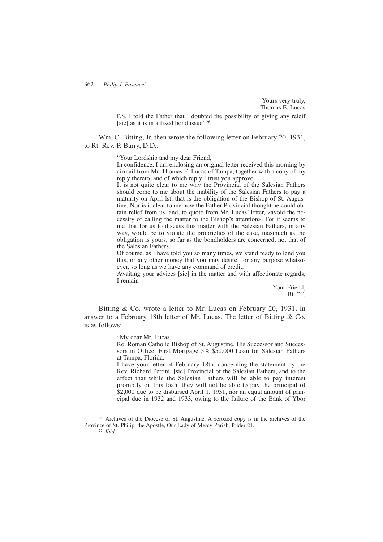Yours very truly, Thomas E. Lucas

P.S. I told the Father that I doubted the possibility of giving any releif [sic] as it is in a fixed bond issue"  $26$ .

Wm. C. Bitting, Jr. then wrote the following letter on February 20, 1931, to Rt. Rev. P. Barry, D.D.:

"Your Lordship and my dear Friend,

In confidence, I am enclosing an original letter received this morning by airmail from Mr. Thomas E. Lucas of Tampa, together with a copy of my reply thereto, and of which reply I trust you approve.

It is not quite clear to me why the Provincial of the Salesian Fathers should come to me about the inability of the Salesian Fathers to pay a maturity on April lst, that is the obligation of the Bishop of St. Augustine. Nor is it clear to me how the Father Provincial thought he could obtain relief from us, and, to quote from Mr. Lucas' letter, «avoid the necessity of calling the matter to the Bishop's attention». For it seems to me that for us to discuss this matter with the Salesian Fathers, in any way, would be to violate the proprieties of the case, inasmuch as the obligation is yours, so far as the bondholders are concerned, not that of the Salesian Fathers.

Of course, as I have told you so many times, we stand ready to lend you this, or any other money that you may desire, for any purpose whatsoever, so long as we have any command of credit.

Awaiting your advices [sic] in the matter and with affectionate regards, I remain

> Your Friend, Bill"27.

Bitting & Co. wrote a letter to Mr. Lucas on February 20, 1931, in answer to a February 18th letter of Mr. Lucas. The letter of Bitting & Co. is as follows:

"My dear Mr. Lucas,

Re: Roman Catholic Bishop of St. Augustine, His Successor and Successors in Office, First Mortgage 5% \$50,000 Loan for Salesian Fathers at Tampa, Florida.

I have your letter of February 18th, concerning the statement by the Rev. Richard Pettini, [sic] Provincial of the Salesian Fathers, and to the effect that while the Salesian Fathers will be able to pay interest promptly on this loan, they will not be able to pay the principal of \$2,000 due to be disbursed April 1, 1931, nor an equal amount of principal due in 1932 and 1933, owing to the failure of the Bank of Ybor

<sup>26</sup> Archives of the Diocese of St. Augustine. A xeroxed copy is in the archives of the Province of St. Philip, the Apostle, Our Lady of Mercy Parish, folder 21.

<sup>27</sup> *Ibid.*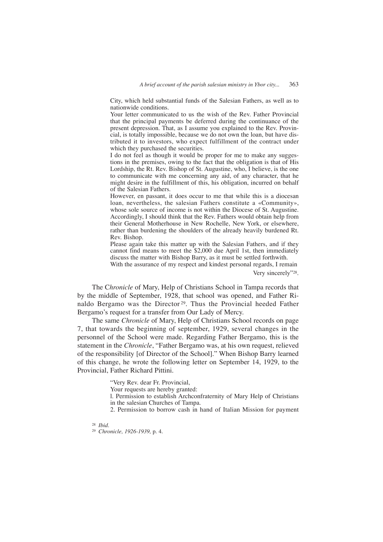City, which held substantial funds of the Salesian Fathers, as well as to nationwide conditions.

Your letter communicated to us the wish of the Rev. Father Provincial that the principal payments be deferred during the continuance of the present depression. That, as I assume you explained to the Rev. Provincial, is totally impossible, because we do not own the loan, but have distributed it to investors, who expect fulfillment of the contract under which they purchased the securities.

I do not feel as though it would be proper for me to make any suggestions in the premises, owing to the fact that the obligation is that of His Lordship, the Rt. Rev. Bishop of St. Augustine, who, I believe, is the one to communicate with me concerning any aid, of any character, that he might desire in the fulfillment of this, his obligation, incurred on behalf of the Salesian Fathers.

However, en passant, it does occur to me that while this is a diocesan loan, nevertheless, the salesian Fathers constitute a «Community», whose sole source of income is not within the Diocese of St. Augustine. Accordingly, I should think that the Rev. Fathers would obtain help from their General Motherhouse in New Rochelle, New York, or elsewhere, rather than burdening the shoulders of the already heavily burdened Rt. Rev. Bishop.

Please again take this matter up with the Salesian Fathers, and if they cannot find means to meet the \$2,000 due April 1st, then immediately discuss the matter with Bishop Barry, as it must be settled forthwith.

With the assurance of my respect and kindest personal regards, I remain Very sincerely"28.

The C*hronicle* of Mary, Help of Christians School in Tampa records that by the middle of September, 1928, that school was opened, and Father Rinaldo Bergamo was the Director 29. Thus the Provincial heeded Father Bergamo's request for a transfer from Our Lady of Mercy.

The same *Chronicle* of Mary, Help of Christians School records on page 7, that towards the beginning of september, 1929, several changes in the personnel of the School were made. Regarding Father Bergamo, this is the statement in the *Chronicle*, "Father Bergamo was, at his own request, relieved of the responsibility [of Director of the School]." When Bishop Barry learned of this change, he wrote the following letter on September 14, 1929, to the Provincial, Father Richard Pittini.

"Very Rev. dear Fr. Provincial,

Your requests are hereby granted:

l. Permission to establish Archconfraternity of Mary Help of Christians in the salesian Churches of Tampa.

2. Permission to borrow cash in hand of Italian Mission for payment

<sup>28</sup> *Ibid.*

<sup>29</sup> *Chronicle, 1926-1939,* p. 4.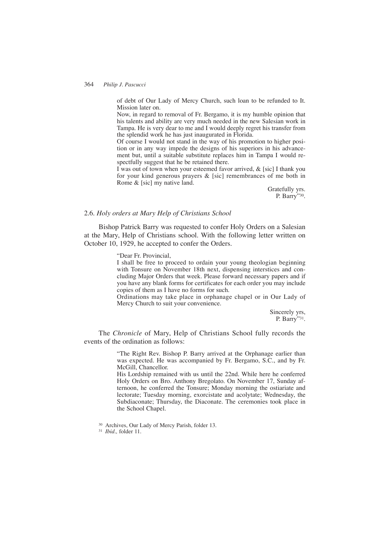of debt of Our Lady of Mercy Church, such loan to be refunded to It. Mission later on.

Now, in regard to removal of Fr. Bergamo, it is my humble opinion that his talents and ability are very much needed in the new Salesian work in Tampa. He is very dear to me and I would deeply regret his transfer from the splendid work he has just inaugurated in Florida.

Of course I would not stand in the way of his promotion to higher position or in any way impede the designs of his superiors in his advancement but, until a suitable substitute replaces him in Tampa I would respectfully suggest that he be retained there.

I was out of town when your esteemed favor arrived, & [sic] I thank you for your kind generous prayers & [sic] remembrances of me both in Rome & [sic] my native land.

> Gratefully yrs. P. Barry"30.

#### 2.6. *Holy orders at Mary Help of Christians School*

Bishop Patrick Barry was requested to confer Holy Orders on a Salesian at the Mary, Help of Christians school. With the following letter written on October 10, 1929, he accepted to confer the Orders.

"Dear Fr. Provincial,

I shall be free to proceed to ordain your young theologian beginning with Tonsure on November 18th next, dispensing interstices and concluding Major Orders that week. Please forward necessary papers and if you have any blank forms for certificates for each order you may include copies of them as I have no forms for such.

Ordinations may take place in orphanage chapel or in Our Lady of Mercy Church to suit your convenience.

> Sincerely yrs, P. Barry"31.

The *Chronicle* of Mary, Help of Christians School fully records the events of the ordination as follows:

> "The Right Rev. Bishop P. Barry arrived at the Orphanage earlier than was expected. He was accompanied by Fr. Bergamo, S.C., and by Fr. McGill, Chancellor.

> His Lordship remained with us until the 22nd. While here he conferred Holy Orders on Bro. Anthony Bregolato. On November 17, Sunday afternoon, he conferred the Tonsure; Monday morning the ostiariate and lectorate; Tuesday morning, exorcistate and acolytate; Wednesday, the Subdiaconate; Thursday, the Diaconate. The ceremonies took place in the School Chapel.

<sup>30</sup> Archives, Our Lady of Mercy Parish, folder 13.

<sup>31</sup> *Ibid.,* folder 11.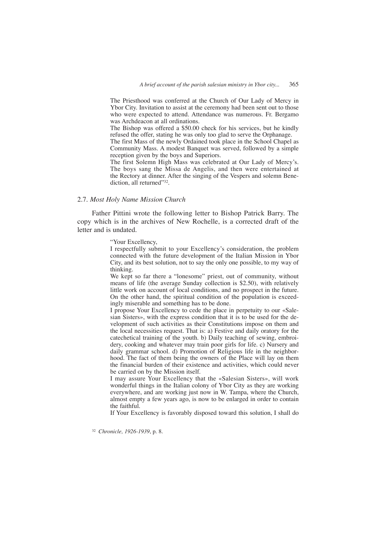The Priesthood was conferred at the Church of Our Lady of Mercy in Ybor City. Invitation to assist at the ceremony had been sent out to those who were expected to attend. Attendance was numerous. Fr. Bergamo was Archdeacon at all ordinations.

The Bishop was offered a \$50.00 check for his services, but he kindly refused the offer, stating he was only too glad to serve the Orphanage.

The first Mass of the newly Ordained took place in the School Chapel as Community Mass. A modest Banquet was served, followed by a simple reception given by the boys and Superiors.

The first Solemn High Mass was celebrated at Our Lady of Mercy's. The boys sang the Missa de Angelis, and then were entertained at the Rectory at dinner. After the singing of the Vespers and solemn Benediction, all returned"32.

#### 2.7. *Most Holy Name Mission Church*

Father Pittini wrote the following letter to Bishop Patrick Barry. The copy which is in the archives of New Rochelle, is a corrected draft of the letter and is undated.

"Your Excellency,

I respectfully submit to your Excellency's consideration, the problem connected with the future development of the Italian Mission in Ybor City, and its best solution, not to say the only one possible, to my way of thinking.

We kept so far there a "lonesome" priest, out of community, without means of life (the average Sunday collection is \$2.50), with relatively little work on account of local conditions, and no prospect in the future. On the other hand, the spiritual condition of the population is exceedingly miserable and something has to be done.

I propose Your Excellency to cede the place in perpetuity to our «Salesian Sisters», with the express condition that it is to be used for the development of such activities as their Constitutions impose on them and the local necessities request. That is: a) Festive and daily oratory for the catechetical training of the youth. b) Daily teaching of sewing, embroidery, cooking and whatever may train poor girls for life. c) Nursery and daily grammar school. d) Promotion of Religious life in the neighborhood. The fact of them being the owners of the Place will lay on them the financial burden of their existence and activities, which could never be carried on by the Mission itself.

I may assure Your Excellency that the «Salesian Sisters», will work wonderful things in the Italian colony of Ybor City as they are working everywhere, and are working just now in W. Tampa, where the Church, almost empty a few years ago, is now to be enlarged in order to contain the faithful.

If Your Excellency is favorably disposed toward this solution, I shall do

<sup>32</sup> *Chronicle, 1926-1939*, p. 8.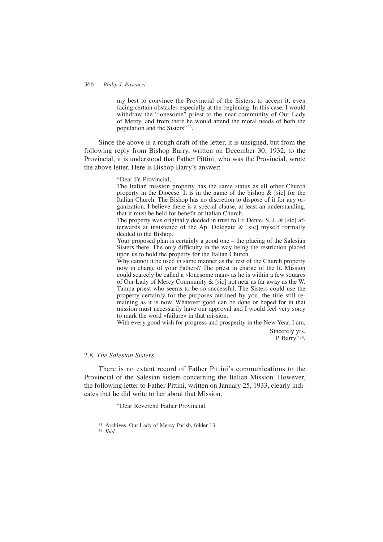my best to convince the Provincial of the Sisters, to accept it, even facing certain obstacles especially at the beginning. In this case, I would withdraw the "lonesome" priest to the near community of Our Lady of Mercy, and from there he would attend the moral needs of both the population and the Sisters" 33.

Since the above is a rough draft of the letter, it is unsigned, but from the following reply from Bishop Barry, written on December 30, 1932, to the Provincial, it is understood that Father Pittini, who was the Provincial, wrote the above letter. Here is Bishop Barry's answer:

"Dear Fr. Provincial,

The Italian mission property has the same status as all other Church property in the Diocese. It is in the name of the bishop  $\&$  [sic] for the Italian Church. The Bishop has no discretion to dispose of it for any organization. I believe there is a special clause, at least an understanding, that it must be held for benefit of Italian Church.

The property was originally deeded in trust to Fr. Dente, S. J. & [sic] afterwards at insistence of the Ap. Delegate & [sic] myself formally deeded to the Bishop.

Your proposed plan is certainly a good one – the placing of the Salesian Sisters there. The only difficulty in the way being the restriction placed upon us to hold the property for the Italian Church.

Why cannot it be used in same manner as the rest of the Church property now in charge of your Fathers? The priest in charge of the It. Mission could scarcely be called a «lonesome man» as he is within a few squares of Our Lady of Mercy Community & [sic] not near as far away as the W. Tampa priest who seems to be so successful. The Sisters could use the property certainly for the purposes outlined by you, the title still remaining as it is now. Whatever good can be done or hoped for in that mission must necessarily have our approval and I would feel very sorry to mark the word «failure» in that mission.

With every good wish for progress and prosperity in the New Year, I am,

Sincerely yrs. P. Barry" 34.

## 2.8. *The Salesian Sisters*

There is no extant record of Father Pittini's communications to the Provincial of the Salesian sisters concerning the Italian Mission. However, the following letter to Father Pittini, written on January 25, 1933, clearly indicates that he did write to her about that Mission.

"Dear Reverend Father Provincial,

<sup>34</sup> *Ibid.*

<sup>33</sup> Archives, Our Lady of Mercy Parish, folder 13.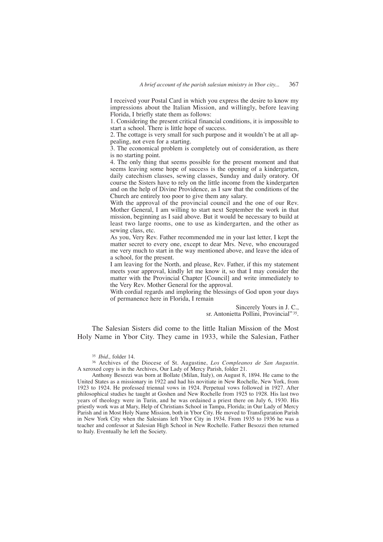I received your Postal Card in which you express the desire to know my impressions about the Italian Mission, and willingly, before leaving Florida, I briefly state them as follows:

1. Considering the present critical financial conditions, it is impossible to start a school. There is little hope of success.

2. The cottage is very small for such purpose and it wouldn't be at all appealing, not even for a starting.

3. The economical problem is completely out of consideration, as there is no starting point.

4. The only thing that seems possible for the present moment and that seems leaving some hope of success is the opening of a kindergarten, daily catechism classes, sewing classes, Sunday and daily oratory. Of course the Sisters have to rely on the little income from the kindergarten and on the help of Divine Providence, as I saw that the conditions of the Church are entirely too poor to give them any salary.

With the approval of the provincial council and the one of our Rev. Mother General, I am willing to start next September the work in that mission, beginning as I said above. But it would be necessary to build at least two large rooms, one to use as kindergarten, and the other as sewing class, etc.

As you, Very Rev. Father recommended me in your last letter, I kept the matter secret to every one, except to dear Mrs. Neve, who encouraged me very much to start in the way mentioned above, and leave the idea of a school, for the present.

I am leaving for the North, and please, Rev. Father, if this my statement meets your approval, kindly let me know it, so that I may consider the matter with the Provincial Chapter [Council] and write immediately to the Very Rev. Mother General for the approval.

With cordial regards and imploring the blessings of God upon your days of permanence here in Florida, I remain

Sincerely Yours in J. C.,

sr. Antonietta Pollini, Provincial" 35.

The Salesian Sisters did come to the little Italian Mission of the Most Holy Name in Ybor City. They came in 1933, while the Salesian, Father

<sup>35</sup> *Ibid.,* folder 14.

<sup>36</sup> Archives of the Diocese of St. Augustine, *Los Compleanos de San Augustin.* A xeroxed copy is in the Archives, Our Lady of Mercy Parish, folder 21.

Anthony Besozzi was born at Bollate (Milan, Italy), on August 8, 1894. He came to the United States as a missionary in 1922 and had his novitiate in New Rochelle, New York, from 1923 to 1924. He professed triennal vows in 1924. Perpetual vows followed in 1927. After philosophical studies he taught at Goshen and New Rochelle from 1925 to 1928. His last two years of theology were in Turin, and he was ordained a priest there on July 6, 1930. His priestly work was at Mary, Help of Christians School in Tampa, Florida; in Our Lady of Mercy Parish and in Most Holy Name Mission, both in Ybor City. He moved to Transfiguration Parish in New York City when the Salesians left Ybor City in 1934. From 1935 to 1936 he was a teacher and confessor at Salesian High School in New Rochelle. Father Besozzi then returned to Italy. Eventually he left the Society.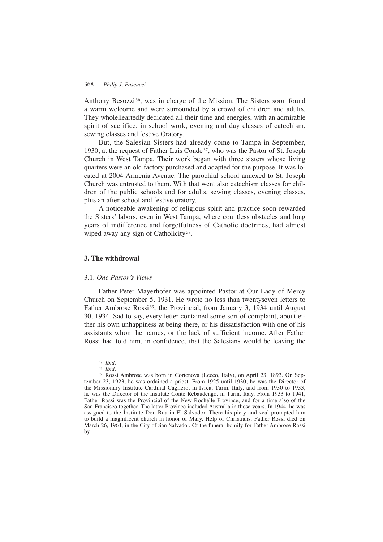Anthony Besozzi<sup>36</sup>, was in charge of the Mission. The Sisters soon found a warm welcome and were surrounded by a crowd of children and adults. They wholelieartedly dedicated all their time and energies, with an admirable spirit of sacrifice, in school work, evening and day classes of catechism, sewing classes and festive Oratory.

But, the Salesian Sisters had already come to Tampa in September, 1930, at the request of Father Luis Conde<sup>37</sup>, who was the Pastor of St. Joseph Church in West Tampa. Their work began with three sisters whose living quarters were an old factory purchased and adapted for the purpose. It was located at 2004 Armenia Avenue. The parochial school annexed to St. Joseph Church was entrusted to them. With that went also catechism classes for children of the public schools and for adults, sewing classes, evening classes, plus an after school and festive oratory.

A noticeable awakening of religious spirit and practice soon rewarded the Sisters' labors, even in West Tampa, where countless obstacles and long years of indifference and forgetfulness of Catholic doctrines, had almost wiped away any sign of Catholicity<sup>38</sup>.

#### **3. The withdrowal**

#### 3.1. *One Pastor's Views*

Father Peter Mayerhofer was appointed Pastor at Our Lady of Mercy Church on September 5, 1931. He wrote no less than twentyseven letters to Father Ambrose Rossi<sup>39</sup>, the Provincial, from January 3, 1934 until August 30, 1934. Sad to say, every letter contained some sort of complaint, about either his own unhappiness at being there, or his dissatisfaction with one of his assistants whom he names, or the lack of sufficient income. After Father Rossi had told him, in confidence, that the Salesians would be leaving the

<sup>37</sup> *Ibid.*

<sup>38</sup> *Ibid.*

<sup>39</sup> Rossi Ambrose was born in Cortenova (Lecco, Italy), on April 23, 1893. On September 23, 1923, he was ordained a priest. From 1925 until 1930, he was the Director of the Missionary Institute Cardinal Cagliero, in Ivrea, Turin, Italy, and from 1930 to 1933, he was the Director of the Institute Conte Rebaudengo, in Turin, Italy. From 1933 to 1941, Father Rossi was the Provincial of the New Rochelle Province, and for a time also of the San Francisco together. The latter Province included Australia in those years. In 1944, he was assigned to the Institute Don Rua in El Salvador. There his piety and zeal prompted him to build a magnificent church in honor of Mary, Help of Christians. Father Rossi died on March 26, 1964, in the City of San Salvador. Cf the funeral homily for Father Ambrose Rossi by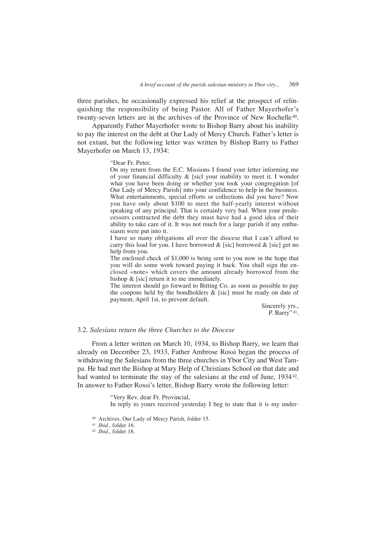three parishes, he occasionally expressed his relief at the prospect of relinquishing the responsibility of being Pastor. All of Father Mayerhofer's twenty-seven letters are in the archives of the Province of New Rochelle 40.

Apparently Father Mayerhofer wrote to Bishop Barry about his inability to pay the interest on the debt at Our Lady of Mercy Church. Father's letter is not extant, but the following letter was written by Bishop Barry to Father Mayerhofer on March 13, 1934:

"Dear Fr. Peter,

On my return from the E.C. Missions I found your letter informing me of your financial difficulty & [sicl your inability to meet it. I wonder what you have been doing or whether you took your congregation [of Our Lady of Mercy Parish] into your confidence to help in the business. What entertainments, special efforts or collections did you have? Now you have only about \$100 to meet the half-yearly interest without speaking of any principal. That is certainly very bad. When your predecessors contracted the debt they must have had a good idea of their ability to take care of it. It was not much for a large parish if any enthusiasm were put into it.

I have so many obligations all over the diocese that I can't afford to carry this load for you. I have borrowed  $\&$  [sic] borrowed  $\&$  [sic] get no help from you.

The enclosed check of \$1,000 is being sent to you now in the hope that you will do some work toward paying it back. You shall sign the enclosed «note» which covers the amount already borrowed from the bishop  $\&$  [sic] return it to me immediately.

The interest should go forward to Bitting Co. as soon as possible to pay the coupons held by the bondholders  $\&$  [sic] must be ready on date of payment, April 1st, to prevent default.

> Sincerely yrs., P. Barry" 41.

## 3.2. *Salesians return the three Churches to the Diocese*

From a letter written on March 10, 1934, to Bishop Barry, we learn that already on December 23, 1933, Father Ambrose Rossi began the process of withdrawing the Salesians from the three churches in Ybor City and West Tampa. He had met the Bishop at Mary Help of Christians School on that date and had wanted to terminate the stay of the salesians at the end of June, 1934<sup>42</sup>. In answer to Father Rossi's letter, Bishop Barry wrote the following letter:

> "Very Rev. dear Fr. Provincial, In reply to yours received yesterday I beg to state that it is my under-

<sup>41</sup> *Ibid.,* folder 16.

<sup>42</sup> *Ibid.,* folder 18.

<sup>40</sup> Archives, Our Lady of Mercy Parish, folder 15.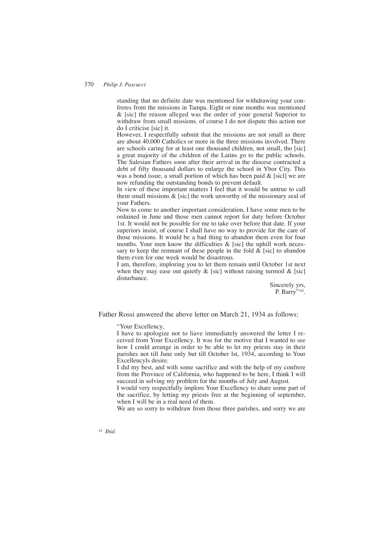standing that no definite date was mentioned for withdrawing your confreres from the missions in Tampa. Eight or nine months was mentioned & [sic] the reason alleged was the order of your general Superior to withdraw from small missions. of course I do not dispute this action nor do I criticise [sic] it.

However, I respectfully submit that the missions are not small as there are about 40,000 Catholics or more in the three missions involved. There are schools caring for at least one thousand children, not small, tho [sic] a great majority of the children of the Latins go to the public schools. The Salesian Fathers soon after their arrival in the diocese contracted a debt of fifty thousand dollars to enlarge the school in Ybor City. This was a bond issue, a small portion of which has been paid  $\&$  [sicl] we are now refunding the outstanding bonds to prevent default.

In view of these important matters I feel that it would be untrue to call them small missions  $\&$  [sic] the work unworthy of the missionary zeal of your Fathers.

Now to come to another important consideration, I have some men to be ordained in June and those men cannot report for duty before October 1st. It would not be possible for me to take over before that date. If your superiors insist, of course I shall have no way to provide for the care of those missions. It would be a bad thing to abandon them even for four months. Your men know the difficulties  $\&$  [sic] the uphill work necessary to keep the remnant of these people in the fold  $\&$  [sic] to abandon them even for one week would be disastrous.

I am, therefore, imploring you to let them remain until October 1st next when they may ease out quietly  $\&$  [sic] without raising turmoil  $\&$  [sic] disturbance.

> Sincerely yrs, P. Barry" 43.

Father Rossi answered the above letter on March 21, 1934 as follows:

"Your Excellency,

I have to apologize not to liave immediately answered the letter I received from Your Excellency. It was for the motive that I wanted to see how I could arrange in order to be able to let my priests stay in their parishes not till June only but till October lst, 1934, according to Your Excellencyls desire.

I did my best, and with some sacrifice and with the help of my confrere from the Province of California, who happened to be here, I think I will succeed in solving my problem for the months of July and August.

I would very respectfully implore Your Excellency to share some part of the sacrifice, by letting my priests free at the beginning of september, when I will be in a real need of them.

We are so sorry to withdraw from those three parishes, and sorry we are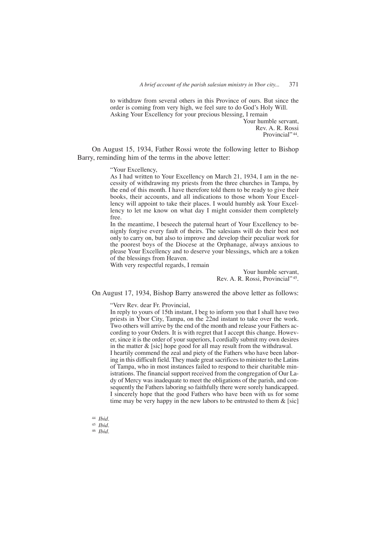to withdraw from several others in this Province of ours. But since the order is coming from very high, we feel sure to do God's Holy Will. Asking Your Excellency for your precious blessing, I remain

> Your humble servant, Rev. A. R. Rossi Provincial" 44.

On August 15, 1934, Father Rossi wrote the following letter to Bishop Barry, reminding him of the terms in the above letter:

"Your Excellency,

As I had written to Your Excellency on March 21, 1934, I am in the necessity of withdrawing my priests from the three churches in Tampa, by the end of this month. I have therefore told them to be ready to give their books, their accounts, and all indications to those whom Your Excellency will appoint to take their places. I would humbly ask Your Excellency to let me know on what day I might consider them completely free.

In the meantime, I beseech the paternal heart of Your Excellency to benignly forgive every fault of theirs. The salesians will do their best not only to carry on, but also to improve and develop their peculiar work for the poorest boys of the Diocese at the Orphanage, always anxious to please Your Excellency and to deserve your blessings, which are a token of the blessings from Heaven.

With very respectful regards, I remain

Your humble servant, Rev. A. R. Rossi, Provincial" 45.

On August 17, 1934, Bishop Barry answered the above letter as follows:

"Verv Rev. dear Fr. Provincial,

In reply to yours of 15th instant, I beg to inform you that I shall have two priests in Ybor City, Tampa, on the 22nd instant to take over the work. Two others will arrive by the end of the month and release your Fathers according to your Orders. It is with regret that I accept this change. However, since it is the order of your superiors, I cordially submit my own desires in the matter & [sic] hope good for all may result from the withdrawal. I heartily commend the zeal and piety of the Fathers who have been laboring in this difficult field. They made great sacrifices to minister to the Latins of Tampa, who in most instances failed to respond to their charitable ministrations. The financial support received from the congregation of Our Lady of Mercy was inadequate to meet the obligations of the parish, and consequently the Fathers laboring so faithfully there were sorely handicapped. I sincerely hope that the good Fathers who have been with us for some time may be very happy in the new labors to be entrusted to them  $\&$  [sic]

<sup>44</sup> *Ibid.*

<sup>45</sup> *Ibid.*

<sup>46</sup> *Ibid.*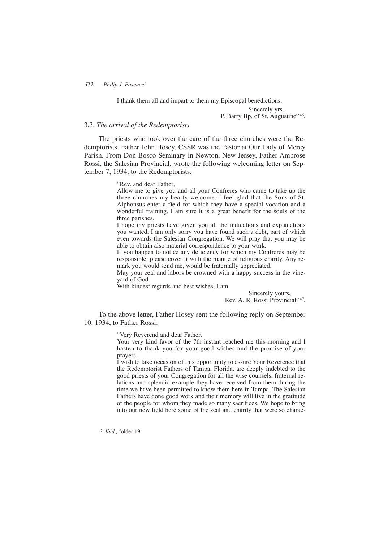I thank them all and impart to them my Episcopal benedictions.

Sincerely yrs.,

P. Barry Bp. of St. Augustine" 46.

## 3.3. *The arrival of the Redemptorists*

The priests who took over the care of the three churches were the Redemptorists. Father John Hosey, CSSR was the Pastor at Our Lady of Mercy Parish. From Don Bosco Seminary in Newton, New Jersey, Father Ambrose Rossi, the Salesian Provincial, wrote the following welcoming letter on September 7, 1934, to the Redemptorists:

"Rev. and dear Father,

Allow me to give you and all your Confreres who came to take up the three churches my hearty welcome. I feel glad that the Sons of St. Alphonsus enter a field for which they have a special vocation and a wonderful training. I am sure it is a great benefit for the souls of the three parishes.

I hope my priests have given you all the indications and explanations you wanted. I am only sorry you have found such a debt, part of which even towards the Salesian Congregation. We will pray that you may be able to obtain also material correspondence to your work.

If you happen to notice any deficiency for which my Confreres may be responsible, please cover it with the mantle of religious charity. Any remark you would send me, would be fraternally appreciated.

May your zeal and labors be crowned with a happy success in the vineyard of God.

With kindest regards and best wishes, I am

Sincerely yours, Rev. A. R. Rossi Provincial" 47.

To the above letter, Father Hosey sent the following reply on September 10, 1934, to Father Rossi:

"Very Reverend and dear Father,

Your very kind favor of the 7th instant reached me this morning and I hasten to thank you for your good wishes and the promise of your prayers.

I wish to take occasion of this opportunity to assure Your Reverence that the Redemptorist Fathers of Tampa, Florida, are deeply indebted to the good priests of your Congregation for all the wise counsels, fraternal relations and splendid example they have received from them during the time we have been permitted to know them here in Tampa. The Salesian Fathers have done good work and their memory will live in the gratitude of the people for whom they made so many sacrifices. We hope to bring into our new field here some of the zeal and charity that were so charac-

<sup>47</sup> *Ibid.,* folder 19.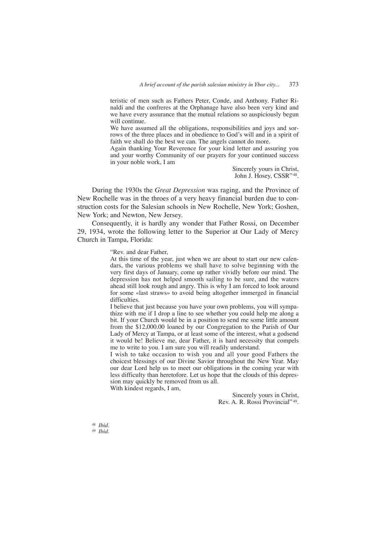teristic of men such as Fathers Peter, Conde, and Anthony. Father Rinaldi and the confreres at the Orphanage have also been very kind and we have every assurance that the mutual relations so auspiciously begun will continue.

We have assumed all the obligations, responsibilities and joys and sorrows of the three places and in obedience to God's will and in a spirit of faith we shall do the best we can. The angels cannot do more.

Again thanking Your Reverence for your kind letter and assuring you and your worthy Community of our prayers for your continued success in your noble work, I am

> Sincerely yours in Christ, John J. Hosey, CSSR" 48.

During the 1930s the *Great Depression* was raging, and the Province of New Rochelle was in the throes of a very heavy financial burden due to construction costs for the Salesian schools in New Rochelle, New York; Goshen, New York; and Newton, New Jersey.

Consequently, it is hardly any wonder that Father Rossi, on December 29, 1934, wrote the following letter to the Superior at Our Lady of Mercy Church in Tampa, Florida:

"Rev. and dear Father,

At this time of the year, just when we are about to start our new calendars, the various problems we shall have to solve beginning with the very first days of January, come up rather vividly before our mind. The depression has not helped smooth sailing to be sure, and the waters ahead still look rough and angry. This is why I am forced to look around for some «last straws» to avoid being altogether immerged in financial difficulties.

I believe that just because you have your own problems, you will sympathize with me if I drop a line to see whether you could help me along a bit. If your Church would be in a position to send me some little amount from the \$12,000.00 loaned by our Congregation to the Parish of Our Lady of Mercy at Tampa, or at least some of the interest, what a godsend it would be! Believe me, dear Father, it is hard necessity that compels me to write to you. I am sure you will readily understand.

I wish to take occasion to wish you and all your good Fathers the choicest blessings of our Divine Savior throughout the New Year. May our dear Lord help us to meet our obligations in the coming year with less difficulty than heretofore. Let us hope that the clouds of this depression may quickly be removed from us all.

With kindest regards, I am,

Sincerely yours in Christ, Rev. A. R. Rossi Provincial" 49.

<sup>48</sup> *Ibid.* <sup>49</sup> *Ibid.*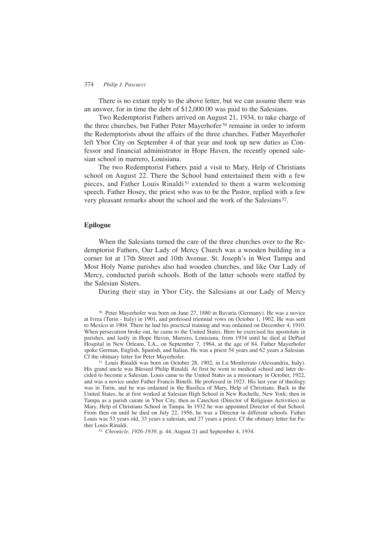There is no extant reply to the above letter, but we can assume there was an answer, for in time the debt of \$12,000.00 was paid to the Salesians.

Two Redemptorist Fathers arrived on August 21, 1934, to take charge of the three churches, but Father Peter Mayerhofer <sup>50</sup> remaine in order to inform the Redemptorists about the affairs of the three churches. Father Mayerhofer left Ybor City on September 4 of that year and took up new duties as Confessor and financial administrator in Hope Haven, the recently opened salesian school in marrero, Louisiana.

The two Redemptorist Fathers paid a visit to Mary, Help of Christians school on August 22. There the School band entertained them with a few pieces, and Father Louis Rinaldi<sup>51</sup> extended to them a warm welcoming speech. Father Hosey, the priest who was to be the Pastor, replied with a few very pleasant remarks about the school and the work of the Salesians 52.

## **Epilogue**

When the Salesians turned the care of the three churches over to the Redemptorist Fathers, Our Lady of Mercy Church was a wooden building in a corner lot at 17th Street and 10th Avenue. St. Joseph's in West Tampa and Most Holy Name parishes also had wooden churches, and like Our Lady of Mercy, conducted parish schools. Both of the latter schools were staffed by the Salesian Sisters.

During their stay in Ybor City, the Salesians at our Lady of Mercy

<sup>50</sup> Peter Mayerhofer was born on June 27, 1880 in Bavaria (Germany). He was a novice at Ivrea (Turin - Italy) in 1901, and professed triennial vows on October 1, 1902. He was sent to Mexico in 1904. There he had his practical training and was ordained on December 4, 1910. When persecution broke out, he came to the United States. Here he exercised his apostolate in parishes, and lastly in Hope Haven, Marrero, Louisiana, from 1934 until he died at DePaul Hospital in New Orleans, LA., on September 7, 1964, at the age of 84. Father Mayerhofer spoke German, English, Spanish, and Italian. He was a priest 54 years and 62 years a Salesian. Cf the obituary letter for Peter Mayerhofer.

<sup>51</sup> Louis Rinaldi was born on October 28, 1902, in Lu Monferrato (Alessandria, Italy). His grand uncle was Blessed Philip Rinaldi. At first he went to medical school and later decided to become a Salesian. Louis came to the United States as a missionary in October, 1922, and was a novice under Father Francis Binelli. He professed in 1923. His last year of theology was in Turin, and he was ordained in the Basilica of Mary, Help of Christians. Back in the United States, he at first worked at Salesian High School in New Rochelle, New York; then in Tampa as a parish curate in Ybor City, then as Catechist (Director of Religious Activities) in Mary, Help of Christians School in Tampa. In 1932 he was appointed Director of that School. From then on until he died on July 22, 1956, he was a Director in different schools. Father Louis was 53 years old, 33 years a salesian, and 27 years a priest. Cf the obituary letter for Father Louis Rinaldi.

<sup>52</sup> *Chronicle, 1926-1939*, p. 44, August 21 and September 4, 1934.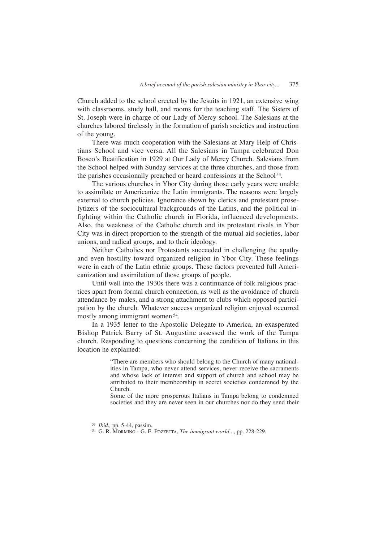Church added to the school erected by the Jesuits in 1921, an extensive wing with classrooms, study hall, and rooms for the teaching staff. The Sisters of St. Joseph were in charge of our Lady of Mercy school. The Salesians at the churches labored tirelessly in the formation of parish societies and instruction of the young.

There was much cooperation with the Salesians at Mary Help of Christians School and vice versa. All the Salesians in Tampa celebrated Don Bosco's Beatification in 1929 at Our Lady of Mercy Church. Salesians from the School helped with Sunday services at the three churches, and those from the parishes occasionally preached or heard confessions at the School<sup>53</sup>.

The various churches in Ybor City during those early years were unable to assimilate or Americanize the Latin immigrants. The reasons were largely external to church policies. Ignorance shown by clerics and protestant proselytizers of the sociocultural backgrounds of the Latins, and the political infighting within the Catholic church in Florida, influenced developments. Also, the weakness of the Catholic church and its protestant rivals in Ybor City was in direct proportion to the strength of the mutual aid societies, labor unions, and radical groups, and to their ideology.

Neither Catholics nor Protestants succeeded in challenging the apathy and even hostility toward organized religion in Ybor City. These feelings were in each of the Latin ethnic groups. These factors prevented full Americanization and assimilation of those groups of people.

Until well into the 1930s there was a continuance of folk religious practices apart from formal church connection, as well as the avoidance of church attendance by males, and a strong attachment to clubs which opposed participation by the church. Whatever success organized religion enjoyed occurred mostly among immigrant women 54.

In a 1935 letter to the Apostolic Delegate to America, an exasperated Bishop Patrick Barry of St. Augustine assessed the work of the Tampa church. Responding to questions concerning the condition of Italians in this location he explained:

> "There are members who should belong to the Church of many nationalities in Tampa, who never attend services, never receive the sacraments and whose lack of interest and support of church and school may be attributed to their membeorship in secret societies condemned by the Church.

> Some of the more prosperous Italians in Tampa belong to condemned societies and they are never seen in our churches nor do they send their

<sup>53</sup> *Ibid.,* pp. 5-44, passim.

<sup>54</sup> G. R. MORMINO - G. E. POZZETTA, *The immigrant world...,* pp. 228-229.